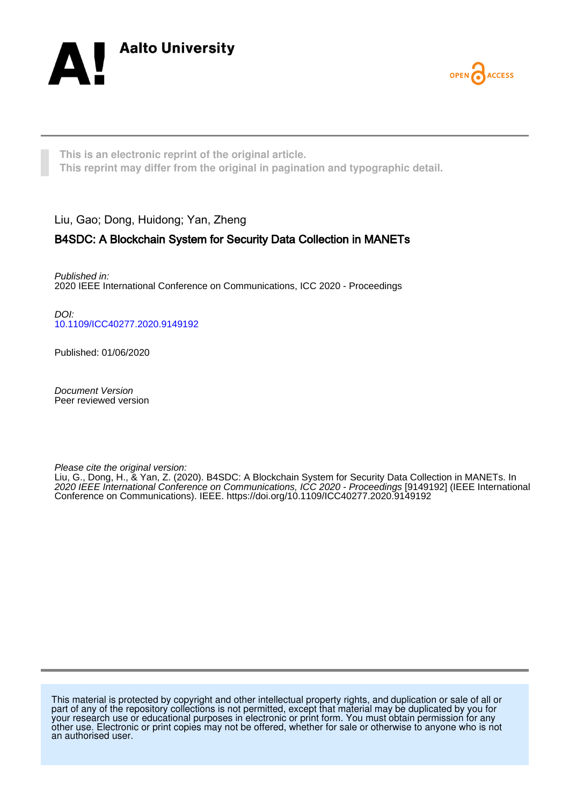



**This is an electronic reprint of the original article. This reprint may differ from the original in pagination and typographic detail.**

Liu, Gao; Dong, Huidong; Yan, Zheng

# B4SDC: A Blockchain System for Security Data Collection in MANETs

Published in: 2020 IEEE International Conference on Communications, ICC 2020 - Proceedings

DOI: [10.1109/ICC40277.2020.9149192](https://doi.org/10.1109/ICC40277.2020.9149192)

Published: 01/06/2020

Document Version Peer reviewed version

Please cite the original version:

Liu, G., Dong, H., & Yan, Z. (2020). B4SDC: A Blockchain System for Security Data Collection in MANETs. In 2020 IEEE International Conference on Communications, ICC 2020 - Proceedings [9149192] (IEEE International Conference on Communications). IEEE.<https://doi.org/10.1109/ICC40277.2020.9149192>

This material is protected by copyright and other intellectual property rights, and duplication or sale of all or part of any of the repository collections is not permitted, except that material may be duplicated by you for your research use or educational purposes in electronic or print form. You must obtain permission for any other use. Electronic or print copies may not be offered, whether for sale or otherwise to anyone who is not an authorised user.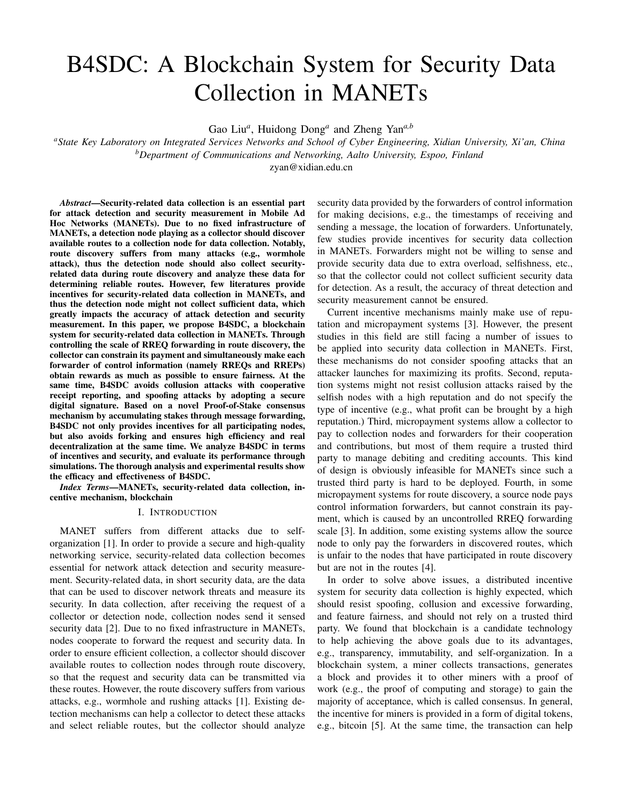# B4SDC: A Blockchain System for Security Data Collection in MANETs

Gao Liu*<sup>a</sup>* , Huidong Dong*<sup>a</sup>* and Zheng Yan*a,b*

*<sup>a</sup>State Key Laboratory on Integrated Services Networks and School of Cyber Engineering, Xidian University, Xi'an, China <sup>b</sup>Department of Communications and Networking, Aalto University, Espoo, Finland*

zyan@xidian.edu.cn

*Abstract*—Security-related data collection is an essential part for attack detection and security measurement in Mobile Ad Hoc Networks (MANETs). Due to no fixed infrastructure of MANETs, a detection node playing as a collector should discover available routes to a collection node for data collection. Notably, route discovery suffers from many attacks (e.g., wormhole attack), thus the detection node should also collect securityrelated data during route discovery and analyze these data for determining reliable routes. However, few literatures provide incentives for security-related data collection in MANETs, and thus the detection node might not collect sufficient data, which greatly impacts the accuracy of attack detection and security measurement. In this paper, we propose B4SDC, a blockchain system for security-related data collection in MANETs. Through controlling the scale of RREQ forwarding in route discovery, the collector can constrain its payment and simultaneously make each forwarder of control information (namely RREQs and RREPs) obtain rewards as much as possible to ensure fairness. At the same time, B4SDC avoids collusion attacks with cooperative receipt reporting, and spoofing attacks by adopting a secure digital signature. Based on a novel Proof-of-Stake consensus mechanism by accumulating stakes through message forwarding, B4SDC not only provides incentives for all participating nodes, but also avoids forking and ensures high efficiency and real decentralization at the same time. We analyze B4SDC in terms of incentives and security, and evaluate its performance through simulations. The thorough analysis and experimental results show the efficacy and effectiveness of B4SDC.

*Index Terms*—MANETs, security-related data collection, incentive mechanism, blockchain

#### I. INTRODUCTION

MANET suffers from different attacks due to selforganization [1]. In order to provide a secure and high-quality networking service, security-related data collection becomes essential for network attack detection and security measurement. Security-related data, in short security data, are the data that can be used to discover network threats and measure its security. In data collection, after receiving the request of a collector or detection node, collection nodes send it sensed security data [2]. Due to no fixed infrastructure in MANETs, nodes cooperate to forward the request and security data. In order to ensure efficient collection, a collector should discover available routes to collection nodes through route discovery, so that the request and security data can be transmitted via these routes. However, the route discovery suffers from various attacks, e.g., wormhole and rushing attacks [1]. Existing detection mechanisms can help a collector to detect these attacks and select reliable routes, but the collector should analyze security data provided by the forwarders of control information for making decisions, e.g., the timestamps of receiving and sending a message, the location of forwarders. Unfortunately, few studies provide incentives for security data collection in MANETs. Forwarders might not be willing to sense and provide security data due to extra overload, selfishness, etc., so that the collector could not collect sufficient security data for detection. As a result, the accuracy of threat detection and security measurement cannot be ensured.

Current incentive mechanisms mainly make use of reputation and micropayment systems [3]. However, the present studies in this field are still facing a number of issues to be applied into security data collection in MANETs. First, these mechanisms do not consider spoofing attacks that an attacker launches for maximizing its profits. Second, reputation systems might not resist collusion attacks raised by the selfish nodes with a high reputation and do not specify the type of incentive (e.g., what profit can be brought by a high reputation.) Third, micropayment systems allow a collector to pay to collection nodes and forwarders for their cooperation and contributions, but most of them require a trusted third party to manage debiting and crediting accounts. This kind of design is obviously infeasible for MANETs since such a trusted third party is hard to be deployed. Fourth, in some micropayment systems for route discovery, a source node pays control information forwarders, but cannot constrain its payment, which is caused by an uncontrolled RREQ forwarding scale [3]. In addition, some existing systems allow the source node to only pay the forwarders in discovered routes, which is unfair to the nodes that have participated in route discovery but are not in the routes [4].

In order to solve above issues, a distributed incentive system for security data collection is highly expected, which should resist spoofing, collusion and excessive forwarding, and feature fairness, and should not rely on a trusted third party. We found that blockchain is a candidate technology to help achieving the above goals due to its advantages, e.g., transparency, immutability, and self-organization. In a blockchain system, a miner collects transactions, generates a block and provides it to other miners with a proof of work (e.g., the proof of computing and storage) to gain the majority of acceptance, which is called consensus. In general, the incentive for miners is provided in a form of digital tokens, e.g., bitcoin [5]. At the same time, the transaction can help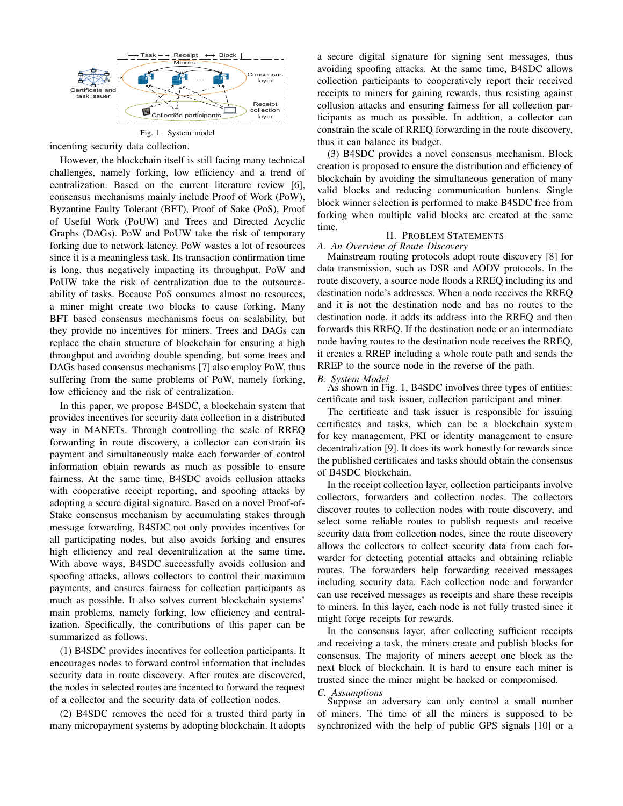

incenting security data collection.

However, the blockchain itself is still facing many technical challenges, namely forking, low efficiency and a trend of centralization. Based on the current literature review [6], consensus mechanisms mainly include Proof of Work (PoW), Byzantine Faulty Tolerant (BFT), Proof of Sake (PoS), Proof of Useful Work (PoUW) and Trees and Directed Acyclic Graphs (DAGs). PoW and PoUW take the risk of temporary forking due to network latency. PoW wastes a lot of resources since it is a meaningless task. Its transaction confirmation time is long, thus negatively impacting its throughput. PoW and PoUW take the risk of centralization due to the outsourceability of tasks. Because PoS consumes almost no resources, a miner might create two blocks to cause forking. Many BFT based consensus mechanisms focus on scalability, but they provide no incentives for miners. Trees and DAGs can replace the chain structure of blockchain for ensuring a high throughput and avoiding double spending, but some trees and DAGs based consensus mechanisms [7] also employ PoW, thus suffering from the same problems of PoW, namely forking, low efficiency and the risk of centralization.

In this paper, we propose B4SDC, a blockchain system that provides incentives for security data collection in a distributed way in MANETs. Through controlling the scale of RREQ forwarding in route discovery, a collector can constrain its payment and simultaneously make each forwarder of control information obtain rewards as much as possible to ensure fairness. At the same time, B4SDC avoids collusion attacks with cooperative receipt reporting, and spoofing attacks by adopting a secure digital signature. Based on a novel Proof-of-Stake consensus mechanism by accumulating stakes through message forwarding, B4SDC not only provides incentives for all participating nodes, but also avoids forking and ensures high efficiency and real decentralization at the same time. With above ways, B4SDC successfully avoids collusion and spoofing attacks, allows collectors to control their maximum payments, and ensures fairness for collection participants as much as possible. It also solves current blockchain systems' main problems, namely forking, low efficiency and centralization. Specifically, the contributions of this paper can be summarized as follows.

(1) B4SDC provides incentives for collection participants. It encourages nodes to forward control information that includes security data in route discovery. After routes are discovered, the nodes in selected routes are incented to forward the request of a collector and the security data of collection nodes.

(2) B4SDC removes the need for a trusted third party in many micropayment systems by adopting blockchain. It adopts a secure digital signature for signing sent messages, thus avoiding spoofing attacks. At the same time, B4SDC allows collection participants to cooperatively report their received receipts to miners for gaining rewards, thus resisting against collusion attacks and ensuring fairness for all collection participants as much as possible. In addition, a collector can constrain the scale of RREQ forwarding in the route discovery, thus it can balance its budget.

(3) B4SDC provides a novel consensus mechanism. Block creation is proposed to ensure the distribution and efficiency of blockchain by avoiding the simultaneous generation of many valid blocks and reducing communication burdens. Single block winner selection is performed to make B4SDC free from forking when multiple valid blocks are created at the same time.

## II. PROBLEM STATEMENTS *A. An Overview of Route Discovery*

Mainstream routing protocols adopt route discovery [8] for data transmission, such as DSR and AODV protocols. In the route discovery, a source node floods a RREQ including its and destination node's addresses. When a node receives the RREQ and it is not the destination node and has no routes to the destination node, it adds its address into the RREQ and then forwards this RREQ. If the destination node or an intermediate node having routes to the destination node receives the RREQ, it creates a RREP including a whole route path and sends the RREP to the source node in the reverse of the path.

# *B. System Model*

As shown in Fig. 1, B4SDC involves three types of entities: certificate and task issuer, collection participant and miner.

The certificate and task issuer is responsible for issuing certificates and tasks, which can be a blockchain system for key management, PKI or identity management to ensure decentralization [9]. It does its work honestly for rewards since the published certificates and tasks should obtain the consensus of B4SDC blockchain.

In the receipt collection layer, collection participants involve collectors, forwarders and collection nodes. The collectors discover routes to collection nodes with route discovery, and select some reliable routes to publish requests and receive security data from collection nodes, since the route discovery allows the collectors to collect security data from each forwarder for detecting potential attacks and obtaining reliable routes. The forwarders help forwarding received messages including security data. Each collection node and forwarder can use received messages as receipts and share these receipts to miners. In this layer, each node is not fully trusted since it might forge receipts for rewards.

In the consensus layer, after collecting sufficient receipts and receiving a task, the miners create and publish blocks for consensus. The majority of miners accept one block as the next block of blockchain. It is hard to ensure each miner is trusted since the miner might be hacked or compromised.

#### *C. Assumptions*

Suppose an adversary can only control a small number of miners. The time of all the miners is supposed to be synchronized with the help of public GPS signals [10] or a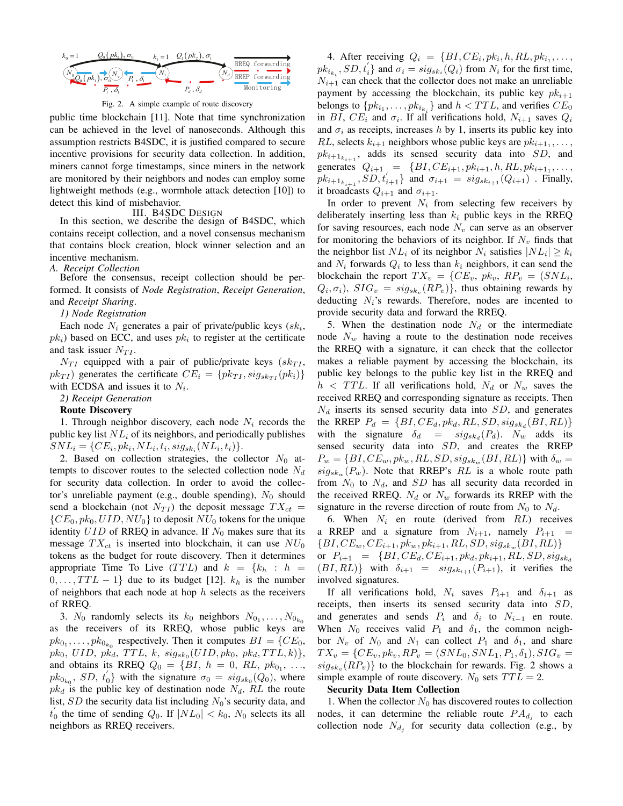

Fig. 2. A simple example of route discovery

can be achieved in the level of nanoseconds. Although this assumption restricts B4SDC, it is justified compared to secure public time blockchain [11]. Note that time synchronization incentive provisions for security data collection. In addition, miners cannot forge timestamps, since miners in the network are monitored by their neighbors and nodes can employ some lightweight methods (e.g., wormhole attack detection [10]) to detect this kind of misbehavior.

III. B4SDC DESIGN In this section, we describe the design of B4SDC, which contains receipt collection, and a novel consensus mechanism that contains block creation, block winner selection and an incentive mechanism.

# *A. Receipt Collection*

Before the consensus, receipt collection should be performed. It consists of *Node Registration*, *Receipt Generation*, and *Receipt Sharing*.

#### *1) Node Registration*

Each node  $N_i$  generates a pair of private/public keys  $(sk_i$ ,  $pk<sub>i</sub>$ ) based on ECC, and uses  $pk<sub>i</sub>$  to register at the certificate and task issuer  $N_{TI}$ .

 $N_{TI}$  equipped with a pair of public/private keys ( $sk_{TI}$ ,  $pk_{TI}$ ) generates the certificate  $CE_i = \{pk_{TI}, sig_{sk_{TI}}(pk_i)\}\$ with ECDSA and issues it to  $N_i$ .

*2) Receipt Generation*

# Route Discovery

1. Through neighbor discovery, each node  $N_i$  records the public key list  $NL_i$  of its neighbors, and periodically publishes  $SNL_i = \{CE_i, pk_i, NL_i, t_i, sig_{sk_i}(NL_i, t_i)\}.$ 

2. Based on collection strategies, the collector  $N_0$  attempts to discover routes to the selected collection node  $N_d$ for security data collection. In order to avoid the collector's unreliable payment (e.g., double spending),  $N_0$  should send a blockchain (not  $N_{TI}$ ) the deposit message  $TX_{ct} =$  $\{CE_0, pk_0, UID, NU_0\}$  to deposit  $NU_0$  tokens for the unique identity  $UID$  of RREQ in advance. If  $N_0$  makes sure that its message  $TX_{ct}$  is inserted into blockchain, it can use  $NU_0$ tokens as the budget for route discovery. Then it determines appropriate Time To Live  $(TTL)$  and  $k = \{k_h : h =$  $0, \ldots, TTL-1$  due to its budget [12].  $k_h$  is the number of neighbors that each node at hop  $h$  selects as the receivers of RREQ.

3.  $N_0$  randomly selects its  $k_0$  neighbors  $N_{0_1}, \ldots, N_{0_{k_0}}$ as the receivers of its RREQ, whose public keys are  $pk_{0_1}, \ldots, pk_{0_{k_0}}$  respectively. Then it computes  $BI = \{CE_0,$  $pk_0, \text{ } UID, \text{ } pk_d, \text{ } TTL, \text{ } k, \text{ } sig_{sk_0}(UID, pk_0, \text{ } pk_d, TTL, k)\},$ and obtains its RREQ  $Q_0 = \{BI, h = 0, RL, pk_{0_1}, \ldots,$  $pk_{0_{k_0}}$ ,  $SD$ ,  $t'_0$  with the signature  $\sigma_0 = sig_{sk_0}(Q_0)$ , where  $pk_d$  is the public key of destination node  $N_d$ , RL the route list, SD the security data list including  $N_0$ 's security data, and  $t'_0$  the time of sending  $Q_0$ . If  $|NL_0| < k_0$ ,  $N_0$  selects its all neighbors as RREQ receivers.

4. After receiving  $Q_i = \{BI, CE_i, pk_i, h, RL, pk_{i_1}, \ldots,$  $pk_{i_{k_i}}$ ,  $SD, t'_i$  and  $\sigma_i = sig_{sk_i}(Q_i)$  from  $N_i$  for the first time,  $N_{i+1}$  can check that the collector does not make an unreliable payment by accessing the blockchain, its public key  $pk_{i+1}$ belongs to  $\{pk_{i_1}, \ldots, pk_{i_{k_i}}\}$  and  $h < TTL$ , and verifies  $CE_0$ in BI,  $CE_i$  and  $\sigma_i$ . If all verifications hold,  $N_{i+1}$  saves  $Q_i$ and  $\sigma_i$  as receipts, increases h by 1, inserts its public key into RL, selects  $k_{i+1}$  neighbors whose public keys are  $pk_{i+1}$ , ...,  $pk_{i+1_{k_{i+1}}}$ , adds its sensed security data into SD, and generates  $Q_{i+1} = \{BI, CE_{i+1}, pk_{i+1}, h, RL, pk_{i+1}, \ldots,$  $pk_{i+1_{k_{i+1}}}$ ,  $SD, t'_{i+1}$  and  $\sigma_{i+1} = sig_{sk_{i+1}}(Q_{i+1})$  . Finally, it broadcasts  $Q_{i+1}$  and  $\sigma_{i+1}$ .

In order to prevent  $N_i$  from selecting few receivers by deliberately inserting less than  $k_i$  public keys in the RREQ for saving resources, each node  $N_v$  can serve as an observer for monitoring the behaviors of its neighbor. If  $N_v$  finds that the neighbor list  $NL_i$  of its neighbor  $N_i$  satisfies  $|NL_i| \geq k_i$ and  $N_i$  forwards  $Q_i$  to less than  $k_i$  neighbors, it can send the blockchain the report  $TX_v = \{CE_v, pk_v, RP_v = (SNL_i,$  $Q_i, \sigma_i$ ),  $SIG_v = sig_{sk_v}(RP_v)$ , thus obtaining rewards by deducting  $N_i$ 's rewards. Therefore, nodes are incented to provide security data and forward the RREQ.

5. When the destination node  $N_d$  or the intermediate node  $N_w$  having a route to the destination node receives the RREQ with a signature, it can check that the collector makes a reliable payment by accessing the blockchain, its public key belongs to the public key list in the RREQ and  $h < TTL$ . If all verifications hold,  $N_d$  or  $N_w$  saves the received RREQ and corresponding signature as receipts. Then  $N_d$  inserts its sensed security data into SD, and generates the RREP  $P_d = \{BI, CE_d, pk_d, RL, SD, sig_{sk_d}(BI, RL)\}\$ with the signature  $\delta_d = sig_{sk_d}(P_d)$ .  $N_w$  adds its sensed security data into SD, and creates the RREP  $P_w = \{BI, CE_w, pk_w, RL, SD, sig_{sk_w}(BI, RL)\}\$  with  $\delta_w =$  $sig_{sk_w}(P_w)$ . Note that RREP's RL is a whole route path from  $N_0$  to  $N_d$ , and SD has all security data recorded in the received RREQ.  $N_d$  or  $N_w$  forwards its RREP with the signature in the reverse direction of route from  $N_0$  to  $N_d$ .

6. When  $N_i$  en route (derived from  $RL$ ) receives a RREP and a signature from  $N_{i+1}$ , namely  $P_{i+1}$  =  $\{BI, CE_{w}, CE_{i+1}, pk_{w}, pk_{i+1}, RL, SD, sig_{sk_{w}}(BI, RL)\}$ or  $P_{i+1} = \{BI, CE_d, CE_{i+1}, pk_d, pk_{i+1}, RL, SD, sig_{sk_d}\}$  $(BI, RL)$ } with  $\delta_{i+1} = sig_{sk_{i+1}}(P_{i+1}),$  it verifies the involved signatures.

If all verifications hold,  $N_i$  saves  $P_{i+1}$  and  $\delta_{i+1}$  as receipts, then inserts its sensed security data into SD, and generates and sends  $P_i$  and  $\delta_i$  to  $N_{i-1}$  en route. When  $N_0$  receives valid  $P_1$  and  $\delta_1$ , the common neighbor  $N_v$  of  $N_0$  and  $N_1$  can collect  $P_1$  and  $\delta_1$ , and share  $TX_v = \{CE_v, pk_v, RP_v = (SNL_0, SNL_1, P_1, \delta_1), SIG_v =$  $sig_{sk_v}(RP_v)$ } to the blockchain for rewards. Fig. 2 shows a simple example of route discovery.  $N_0$  sets  $TTL = 2$ .

#### Security Data Item Collection

1. When the collector  $N_0$  has discovered routes to collection nodes, it can determine the reliable route  $PA_{d_j}$  to each collection node  $N_{d_j}$  for security data collection (e.g., by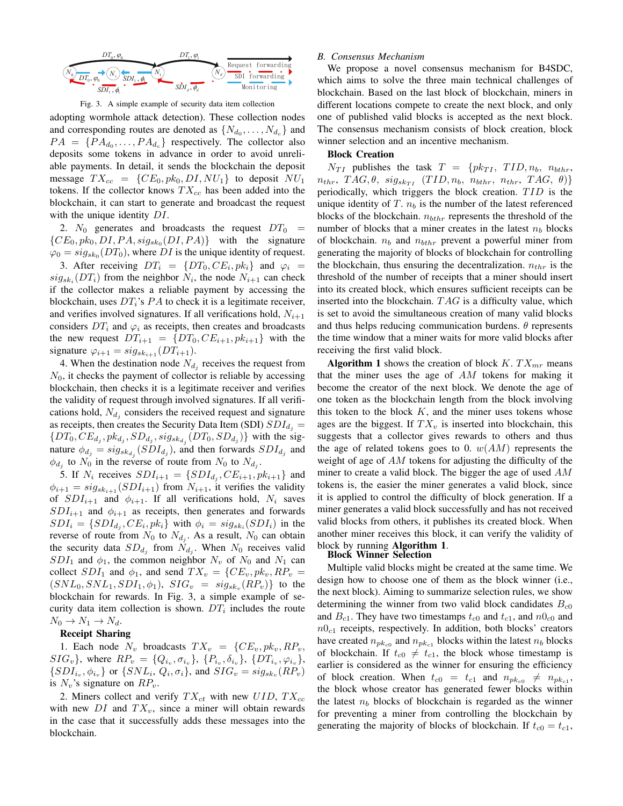



adopting wormhole attack detection). These collection nodes and corresponding routes are denoted as  $\{N_{d_0}, \ldots, N_{d_c}\}\$  and  $PA = \{PA_{d_0}, \ldots, PA_{d_c}\}\;$  respectively. The collector also deposits some tokens in advance in order to avoid unreliable payments. In detail, it sends the blockchain the deposit message  $TX_{cc} = \{CE_0, pk_0, DI, NU_1\}$  to deposit  $NU_1$ tokens. If the collector knows  $TX_{cc}$  has been added into the blockchain, it can start to generate and broadcast the request with the unique identity  $DI$ .

2.  $N_0$  generates and broadcasts the request  $DT_0$  =  $\{CE_0, pk_0, DI, PA, sig_{sk_0}(DI, PA)\}$  with the signature  $\varphi_0 = sig_{sk_0}(DT_0)$ , where DI is the unique identity of request. 3. After receiving  $DT_i = \{DT_0, CE_i, pk_i\}$  and  $\varphi_i =$  $sig_{sk_i}(DT_i)$  from the neighbor  $N_i$ , the node  $N_{i+1}$  can check if the collector makes a reliable payment by accessing the blockchain, uses  $DT_i$ 's PA to check it is a legitimate receiver, and verifies involved signatures. If all verifications hold,  $N_{i+1}$ considers  $DT_i$  and  $\varphi_i$  as receipts, then creates and broadcasts the new request  $DT_{i+1} = \{DT_0, CE_{i+1}, pk_{i+1}\}\)$  with the signature  $\varphi_{i+1} = sig_{sk_{i+1}}(DT_{i+1}).$ 

4. When the destination node  $N_{d_j}$  receives the request from  $N_0$ , it checks the payment of collector is reliable by accessing blockchain, then checks it is a legitimate receiver and verifies the validity of request through involved signatures. If all verifications hold,  $N_{d_j}$  considers the received request and signature as receipts, then creates the Security Data Item (SDI)  $SDI_{d_i}$  =  $\{DT_0, CE_{d_j}, pk_{d_j}, SD_{d_j}, sig_{sk_{d_j}}(DT_0, SD_{d_j})\}$  with the signature  $\phi_{d_j} = sig_{sk_{d_j}}(SDI_{d_j})$ , and then forwards  $SDI_{d_j}$  and  $\phi_{d_j}$  to  $N_0$  in the reverse of route from  $N_0$  to  $N_{d_j}$ .

5. If  $N_i$  receives  $SDI_{i+1} = \{SDI_{d_j}, CE_{i+1}, pk_{i+1}\}$  and  $\phi_{i+1} = sig_{sk_{i+1}}(SDI_{i+1})$  from  $N_{i+1}$ , it verifies the validity of  $SDI_{i+1}$  and  $\phi_{i+1}$ . If all verifications hold,  $N_i$  saves  $SDI_{i+1}$  and  $\phi_{i+1}$  as receipts, then generates and forwards  $SDI_i = \{SDI_{d_i}, CE_i, pk_i\}$  with  $\phi_i = sig_{sk_i}(SDI_i)$  in the reverse of route from  $N_0$  to  $N_{d_j}$ . As a result,  $N_0$  can obtain the security data  $SD_{d_j}$  from  $N_{d_j}$ . When  $N_0$  receives valid  $SDI_1$  and  $\phi_1$ , the common neighbor  $N_v$  of  $N_0$  and  $N_1$  can collect  $SDI_1$  and  $\phi_1$ , and send  $TX_v = \{CE_v, pk_v, RP_v =$  $(SNL_0, SNL_1, SDI_1, \phi_1), \; SIG_v = sig_{sk_v}(RP_v) \}$  to the blockchain for rewards. In Fig. 3, a simple example of security data item collection is shown.  $DT_i$  includes the route  $N_0 \to N_1 \to N_d$ .

# Receipt Sharing

1. Each node  $N_v$  broadcasts  $TX_v = \{CE_v, pk_v, RP_v,$  $SIG_v$ , where  $RP_v = \{Q_{i_v}, \sigma_{i_v}\}, \{P_{i_v}, \delta_{i_v}\}, \{DT_{i_v}, \varphi_{i_v}\},\$  $\{SDI_{i_v}, \phi_{i_v}\}$  or  $\{SNL_i, Q_i, \sigma_i\}$ , and  $SIG_v = sig_{sk_v}(RP_v)$ is  $N_v$ 's signature on  $RP_v$ .

2. Miners collect and verify  $TX_{ct}$  with new  $UID, TX_{cc}$ with new  $DI$  and  $TX_v$ , since a miner will obtain rewards in the case that it successfully adds these messages into the blockchain.

# *B. Consensus Mechanism*

We propose a novel consensus mechanism for B4SDC, which aims to solve the three main technical challenges of blockchain. Based on the last block of blockchain, miners in different locations compete to create the next block, and only one of published valid blocks is accepted as the next block. The consensus mechanism consists of block creation, block winner selection and an incentive mechanism.

#### Block Creation

 $N_{TI}$  publishes the task  $T = \{pk_{TI}, TID, n_b, n_{bthr},$  $n_{thr}, TAG, \theta, sig_{sk_{TI}} (TID, n_b, n_{bthr}, n_{thr}, TAG, \theta)$ periodically, which triggers the block creation.  $TID$  is the unique identity of  $T$ .  $n_b$  is the number of the latest referenced blocks of the blockchain.  $n_{bthr}$  represents the threshold of the number of blocks that a miner creates in the latest  $n_b$  blocks of blockchain.  $n_b$  and  $n_{bthr}$  prevent a powerful miner from generating the majority of blocks of blockchain for controlling the blockchain, thus ensuring the decentralization.  $n_{thr}$  is the threshold of the number of receipts that a miner should insert into its created block, which ensures sufficient receipts can be inserted into the blockchain.  $TAG$  is a difficulty value, which is set to avoid the simultaneous creation of many valid blocks and thus helps reducing communication burdens.  $\theta$  represents the time window that a miner waits for more valid blocks after receiving the first valid block.

Algorithm 1 shows the creation of block  $K. T X_{mr}$  means that the miner uses the age of AM tokens for making it become the creator of the next block. We denote the age of one token as the blockchain length from the block involving this token to the block  $K$ , and the miner uses tokens whose ages are the biggest. If  $TX_v$  is inserted into blockchain, this suggests that a collector gives rewards to others and thus the age of related tokens goes to 0.  $w(AM)$  represents the weight of age of AM tokens for adjusting the difficulty of the miner to create a valid block. The bigger the age of used  $AM$ tokens is, the easier the miner generates a valid block, since it is applied to control the difficulty of block generation. If a miner generates a valid block successfully and has not received valid blocks from others, it publishes its created block. When another miner receives this block, it can verify the validity of block by running Algorithm 1.

#### Block Winner Selection

Multiple valid blocks might be created at the same time. We design how to choose one of them as the block winner (i.e., the next block). Aiming to summarize selection rules, we show determining the winner from two valid block candidates  $B_{c0}$ and  $B_{c1}$ . They have two timestamps  $t_{c0}$  and  $t_{c1}$ , and  $n0_{c0}$  and  $n0<sub>c1</sub>$  receipts, respectively. In addition, both blocks' creators have created  $n_{pk_{c0}}$  and  $n_{pk_{c1}}$  blocks within the latest  $n_b$  blocks of blockchain. If  $t_{c0} \neq t_{c1}$ , the block whose timestamp is earlier is considered as the winner for ensuring the efficiency of block creation. When  $t_{c0} = t_{c1}$  and  $n_{pk_{c0}} \neq n_{pk_{c1}}$ , the block whose creator has generated fewer blocks within the latest  $n_b$  blocks of blockchain is regarded as the winner for preventing a miner from controlling the blockchain by generating the majority of blocks of blockchain. If  $t_{c0} = t_{c1}$ ,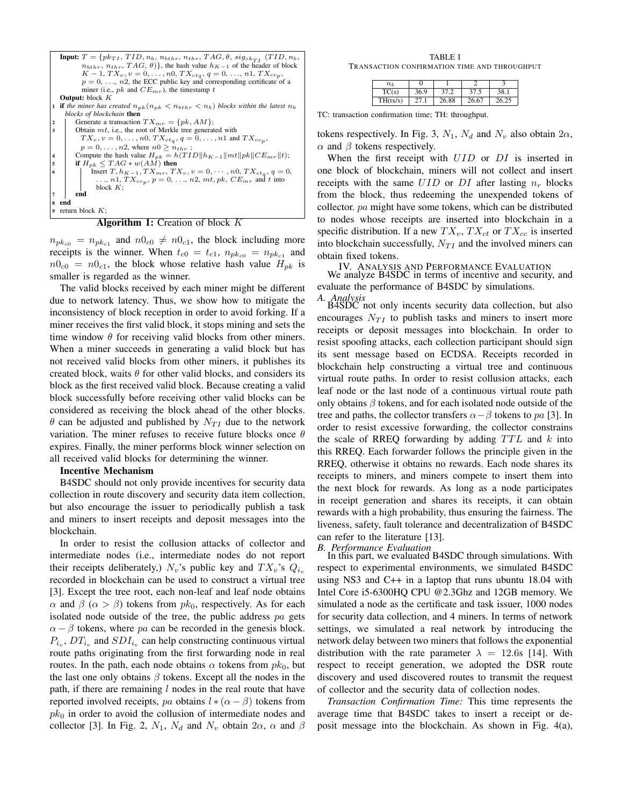

Algorithm 1: Creation of block K

 $n_{pk_{c0}} = n_{pk_{c1}}$  and  $n0_{c0} \neq n0_{c1}$ , the block including more receipts is the winner. When  $t_{c0} = t_{c1}$ ,  $n_{pk_{c0}} = n_{pk_{c1}}$  and  $n_0 = n_0$ , the block whose relative hash value  $H_{nk}$  is smaller is regarded as the winner.

The valid blocks received by each miner might be different due to network latency. Thus, we show how to mitigate the inconsistency of block reception in order to avoid forking. If a miner receives the first valid block, it stops mining and sets the time window  $\theta$  for receiving valid blocks from other miners. When a miner succeeds in generating a valid block but has not received valid blocks from other miners, it publishes its created block, waits  $\theta$  for other valid blocks, and considers its block as the first received valid block. Because creating a valid block successfully before receiving other valid blocks can be considered as receiving the block ahead of the other blocks.  $\theta$  can be adjusted and published by  $N_{TI}$  due to the network variation. The miner refuses to receive future blocks once  $\theta$ expires. Finally, the miner performs block winner selection on all received valid blocks for determining the winner.

# Incentive Mechanism

B4SDC should not only provide incentives for security data collection in route discovery and security data item collection, but also encourage the issuer to periodically publish a task and miners to insert receipts and deposit messages into the blockchain.

In order to resist the collusion attacks of collector and intermediate nodes (i.e., intermediate nodes do not report their receipts deliberately,)  $N_v$ 's public key and  $TX_v$ 's  $Q_{i_v}$ recorded in blockchain can be used to construct a virtual tree [3]. Except the tree root, each non-leaf and leaf node obtains  $\alpha$  and  $\beta$  ( $\alpha > \beta$ ) tokens from  $pk_0$ , respectively. As for each isolated node outside of the tree, the public address  $pa$  gets  $\alpha - \beta$  tokens, where pa can be recorded in the genesis block.  $P_{i_v}$ ,  $DT_{i_v}$  and  $SDI_{i_v}$  can help constructing continuous virtual route paths originating from the first forwarding node in real routes. In the path, each node obtains  $\alpha$  tokens from  $pk_0$ , but the last one only obtains  $\beta$  tokens. Except all the nodes in the path, if there are remaining  $l$  nodes in the real route that have reported involved receipts, pa obtains  $l * (\alpha - \beta)$  tokens from  $pk<sub>0</sub>$  in order to avoid the collusion of intermediate nodes and collector [3]. In Fig. 2,  $N_1$ ,  $N_d$  and  $N_v$  obtain  $2\alpha$ ,  $\alpha$  and  $\beta$ 

TABLE I TRANSACTION CONFIRMATION TIME AND THROUGHPUT

| $n_h$    |      |       |       |       |
|----------|------|-------|-------|-------|
| TC(s)    | 36.9 |       | 37.5  | 38.1  |
| TH(tx/s) | 27.1 | 26.88 | 26.67 | 26.25 |

TC: transaction confirmation time; TH: throughput.

tokens respectively. In Fig. 3,  $N_1$ ,  $N_d$  and  $N_v$  also obtain  $2\alpha$ ,  $\alpha$  and  $\beta$  tokens respectively.

When the first receipt with  $UID$  or  $DI$  is inserted in one block of blockchain, miners will not collect and insert receipts with the same  $UID$  or  $DI$  after lasting  $n_r$  blocks from the block, thus redeeming the unexpended tokens of collector.  $pa$  might have some tokens, which can be distributed to nodes whose receipts are inserted into blockchain in a specific distribution. If a new  $TX_v, TX_{ct}$  or  $TX_{cc}$  is inserted into blockchain successfully,  $N_{TI}$  and the involved miners can obtain fixed tokens.

IV. ANALYSIS AND PERFORMANCE EVALUATION We analyze B4SDC in terms of incentive and security, and

evaluate the performance of B4SDC by simulations.

*A. Analysis*

B4SDC not only incents security data collection, but also encourages  $N_{TI}$  to publish tasks and miners to insert more receipts or deposit messages into blockchain. In order to resist spoofing attacks, each collection participant should sign its sent message based on ECDSA. Receipts recorded in blockchain help constructing a virtual tree and continuous virtual route paths. In order to resist collusion attacks, each leaf node or the last node of a continuous virtual route path only obtains  $\beta$  tokens, and for each isolated node outside of the tree and paths, the collector transfers  $\alpha-\beta$  tokens to pa [3]. In order to resist excessive forwarding, the collector constrains the scale of RREQ forwarding by adding  $TTL$  and k into this RREQ. Each forwarder follows the principle given in the RREQ, otherwise it obtains no rewards. Each node shares its receipts to miners, and miners compete to insert them into the next block for rewards. As long as a node participates in receipt generation and shares its receipts, it can obtain rewards with a high probability, thus ensuring the fairness. The liveness, safety, fault tolerance and decentralization of B4SDC can refer to the literature [13].

*B. Performance Evaluation*

In this part, we evaluated B4SDC through simulations. With respect to experimental environments, we simulated B4SDC using NS3 and C++ in a laptop that runs ubuntu 18.04 with Intel Core i5-6300HQ CPU @2.3Ghz and 12GB memory. We simulated a node as the certificate and task issuer, 1000 nodes for security data collection, and 4 miners. In terms of network settings, we simulated a real network by introducing the network delay between two miners that follows the exponential distribution with the rate parameter  $\lambda = 12.6$ s [14]. With respect to receipt generation, we adopted the DSR route discovery and used discovered routes to transmit the request of collector and the security data of collection nodes.

*Transaction Confirmation Time:* This time represents the average time that B4SDC takes to insert a receipt or deposit message into the blockchain. As shown in Fig. 4(a),